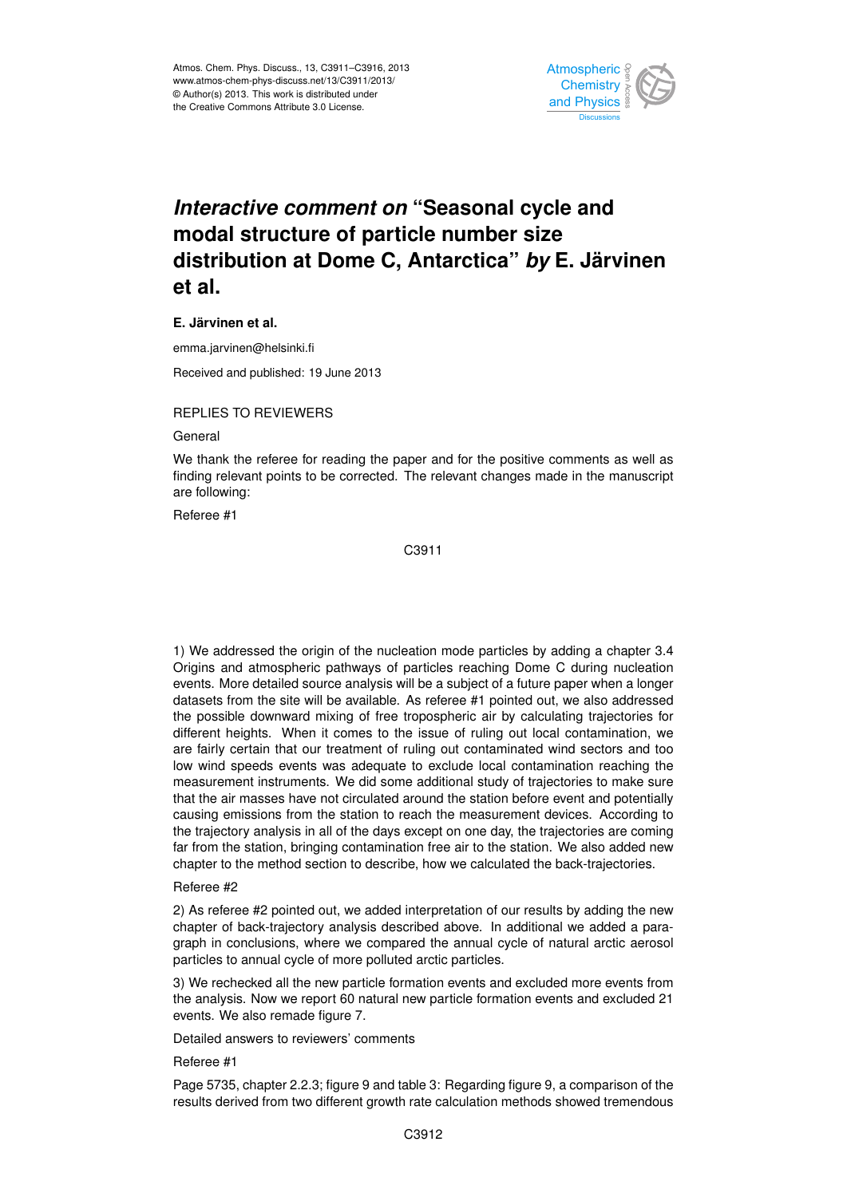

## *Interactive comment on "Seasonal cycle and* .<br>م Climate  $\overline{\phantom{a}}$ Open Access Climate **distribution at Dome C, Antarctica"** *by* **E. Järvinen modal structure of particle number size et al.**

## **E. Järvinen et al.**

emma.jarvinen@helsinki.fi

Received and published: 19 June 2013

## REPLIES TO REVIEWERS

General

We thank the referee for reading the paper and for the positive comments as well as finding relevant points to be corrected. The relevant changes made in the manuscript T<br>T ar<br>. are following:

Referee #1

Hydrology and Earth System  $\tilde{c}$ C3911

events. More detailed source analysis will be a subject of a future paper when a longer a<br>II<br>As u<br>a<br>dc datasets from the site will be available. As referee #1 pointed out, we also addressed are fairly certain that our treatment of ruling out contaminated wind sectors and too e<br>Ult แ<br>;<br>h low wind speeds events was adequate to exclude local contamination reaching the 1) We addressed the origin of the nucleation mode particles by adding a chapter 3.4 Origins and atmospheric pathways of particles reaching Dome C during nucleation the possible downward mixing of free tropospheric air by calculating trajectories for different heights. When it comes to the issue of ruling out local contamination, we measurement instruments. We did some additional study of trajectories to make sure that the air masses have not circulated around the station before event and potentially causing emissions from the station to reach the measurement devices. According to the trajectory analysis in all of the days except on one day, the trajectories are coming far from the station, bringing contamination free air to the station. We also added new chapter to the method section to describe, how we calculated the back-trajectories.

## Referee #2

2) As referee #2 pointed out, we added interpretation of our results by adding the new chapter of back-trajectory analysis described above. In additional we added a paragraph in conclusions, where we compared the annual cycle of natural arctic aerosol particles to annual cycle of more polluted arctic particles.

3) We rechecked all the new particle formation events and excluded more events from the analysis. Now we report 60 natural new particle formation events and excluded 21 events. We also remade figure 7.

Detailed answers to reviewers' comments

Referee #1

Page 5735, chapter 2.2.3; figure 9 and table 3: Regarding figure 9, a comparison of the results derived from two different growth rate calculation methods showed tremendous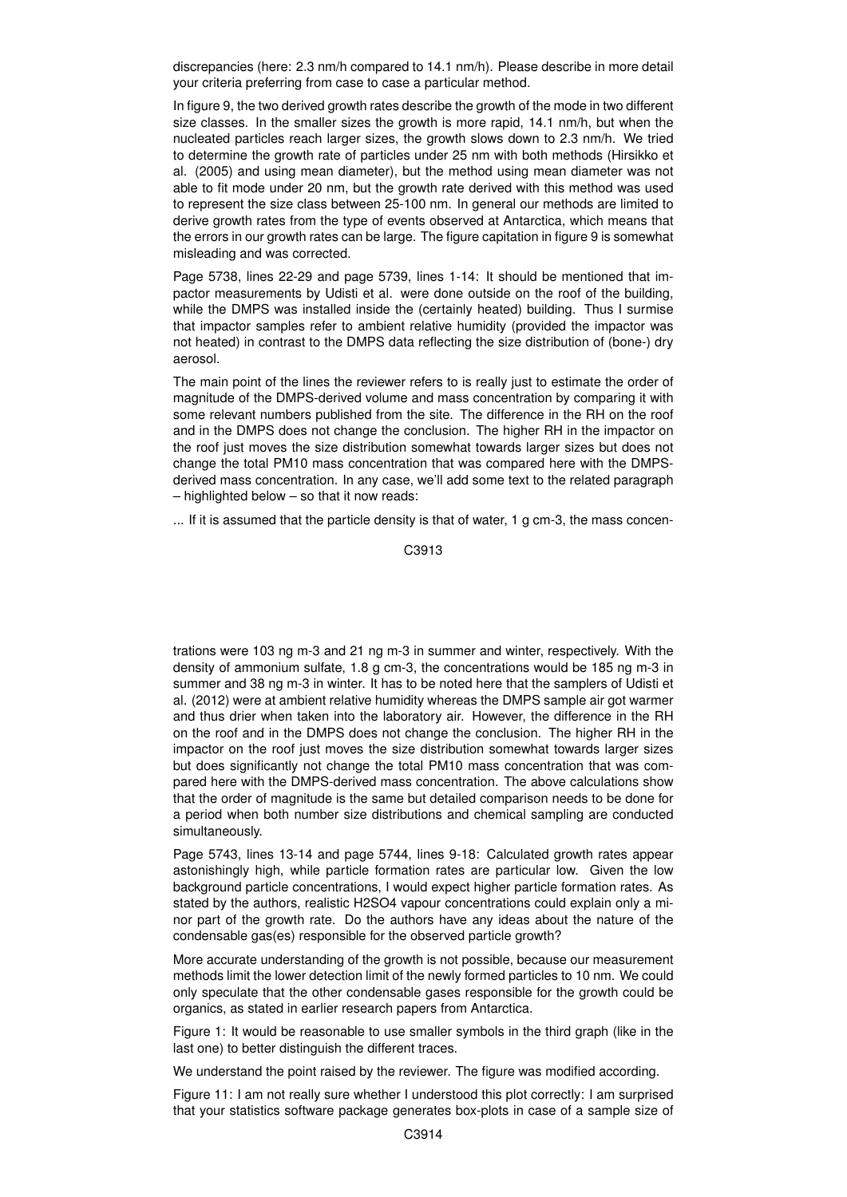discrepancies (here: 2.3 nm/h compared to 14.1 nm/h). Please describe in more detail your criteria preferring from case to case a particular method.

In figure 9, the two derived growth rates describe the growth of the mode in two different size classes. In the smaller sizes the growth is more rapid, 14.1 nm/h, but when the nucleated particles reach larger sizes, the growth slows down to 2.3 nm/h. We tried to determine the growth rate of particles under 25 nm with both methods (Hirsikko et al. (2005) and using mean diameter), but the method using mean diameter was not able to fit mode under 20 nm, but the growth rate derived with this method was used to represent the size class between 25-100 nm. In general our methods are limited to derive growth rates from the type of events observed at Antarctica, which means that the errors in our growth rates can be large. The figure capitation in figure 9 is somewhat misleading and was corrected.

Page 5738, lines 22-29 and page 5739, lines 1-14: It should be mentioned that impactor measurements by Udisti et al. were done outside on the roof of the building, while the DMPS was installed inside the (certainly heated) building. Thus I surmise that impactor samples refer to ambient relative humidity (provided the impactor was not heated) in contrast to the DMPS data reflecting the size distribution of (bone-) dry aerosol.

The main point of the lines the reviewer refers to is really just to estimate the order of magnitude of the DMPS-derived volume and mass concentration by comparing it with some relevant numbers published from the site. The difference in the RH on the roof and in the DMPS does not change the conclusion. The higher RH in the impactor on the roof iust moves the size distribution somewhat towards larger sizes but does not change the total PM10 mass concentration that was compared here with the DMPSderived mass concentration. In any case, we'll add some text to the related paragraph – highlighted below – so that it now reads:

... If it is assumed that the particle density is that of water, 1 g cm-3, the mass concen-

C3913

trations were 103 ng m-3 and 21 ng m-3 in summer and winter, respectively. With the density of ammonium sulfate, 1.8 g cm-3, the concentrations would be 185 ng m-3 in summer and 38 ng m-3 in winter. It has to be noted here that the samplers of Udisti et al. (2012) were at ambient relative humidity whereas the DMPS sample air got warmer and thus drier when taken into the laboratory air. However, the difference in the RH on the roof and in the DMPS does not change the conclusion. The higher RH in the impactor on the roof just moves the size distribution somewhat towards larger sizes but does significantly not change the total PM10 mass concentration that was compared here with the DMPS-derived mass concentration. The above calculations show that the order of magnitude is the same but detailed comparison needs to be done for a period when both number size distributions and chemical sampling are conducted simultaneously.

Page 5743, lines 13-14 and page 5744, lines 9-18: Calculated growth rates appear astonishingly high, while particle formation rates are particular low. Given the low background particle concentrations, I would expect higher particle formation rates. As stated by the authors, realistic H2SO4 vapour concentrations could explain only a minor part of the growth rate. Do the authors have any ideas about the nature of the condensable gas(es) responsible for the observed particle growth?

More accurate understanding of the growth is not possible, because our measurement methods limit the lower detection limit of the newly formed particles to 10 nm. We could only speculate that the other condensable gases responsible for the growth could be organics, as stated in earlier research papers from Antarctica.

Figure 1: It would be reasonable to use smaller symbols in the third graph (like in the last one) to better distinguish the different traces.

We understand the point raised by the reviewer. The figure was modified according.

Figure 11: I am not really sure whether I understood this plot correctly: I am surprised that your statistics software package generates box-plots in case of a sample size of